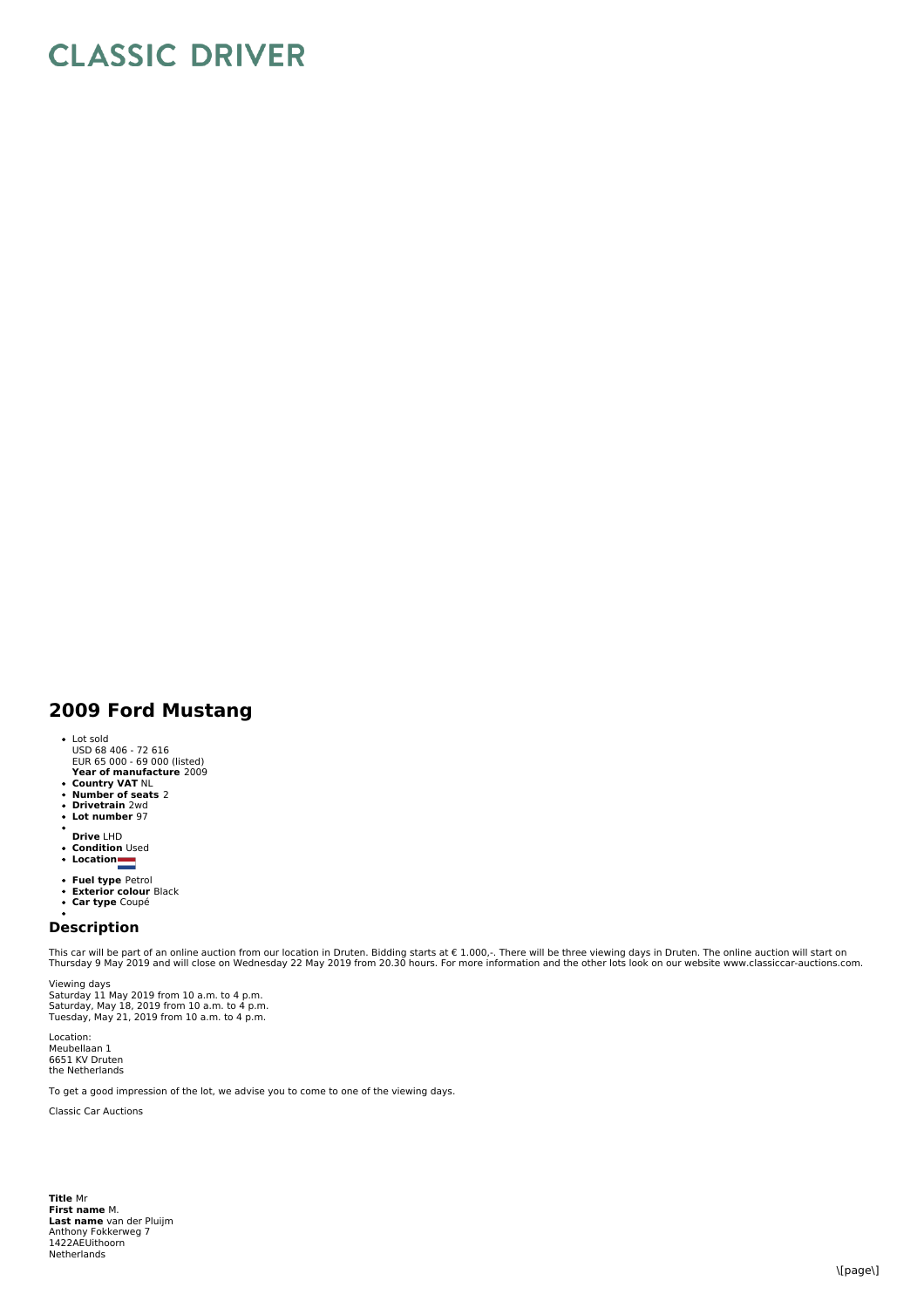## **CLASSIC DRIVER**

## **2009 Ford Mustang**

- 
- **Year of manufacture** 2009 Lot sold USD 68 406 - 72 616 EUR 65 000 - 69 000 (listed)
- 
- **Country VAT** NL **Number of seats** 2
- **Drivetrain** 2wd **Lot number** 97
- 
- 
- 
- **Drive** LHD **Condition** Used **Location**
- 
- **Fuel type** Petrol **Exterior colour** Black **Car type** Coupé
- 

## **Description**

This car will be part of an online auction from our location in Druten. Bidding starts at € 1.000,-. There will be three viewing days in Druten. The online auction will start on<br>Thursday 9 May 2019 and will close on Wedne

Viewing days<br>Saturday 11 May 2019 from 10 a.m. to 4 p.m. Saturday, May 18, 2019 from 10 a.m. to 4 p.m. Tuesday, May 21, 2019 from 10 a.m. to 4 p.m.

Location: Meubellaan 1 6651 KV Druten the Netherlands

To get a good impression of the lot, we advise you to come to one of the viewing days.

Classic Car Auctions

**Title** Mr **First name** M. **Last name** van der Pluijm Anthony Fokkerweg 7 1422AEUithoorn **Netherlands**